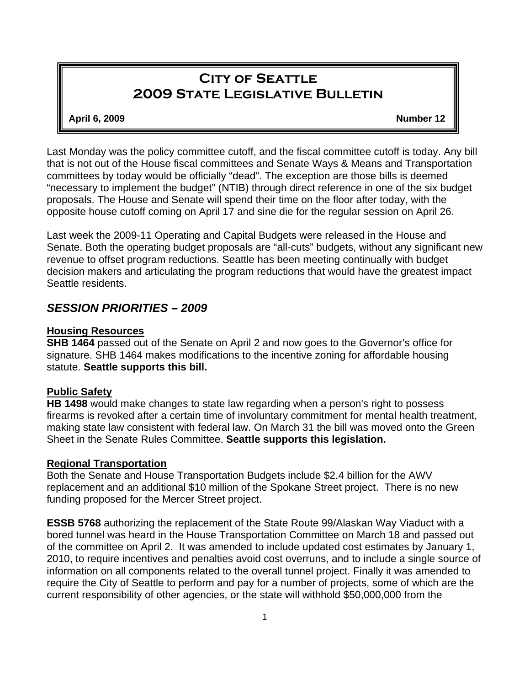# **City of Seattle 2009 State Legislative Bulletin**

#### **April 6, 2009 Number 12**

Last Monday was the policy committee cutoff, and the fiscal committee cutoff is today. Any bill that is not out of the House fiscal committees and Senate Ways & Means and Transportation committees by today would be officially "dead". The exception are those bills is deemed "necessary to implement the budget" (NTIB) through direct reference in one of the six budget proposals. The House and Senate will spend their time on the floor after today, with the opposite house cutoff coming on April 17 and sine die for the regular session on April 26.

Last week the 2009-11 Operating and Capital Budgets were released in the House and Senate. Both the operating budget proposals are "all-cuts" budgets, without any significant new revenue to offset program reductions. Seattle has been meeting continually with budget decision makers and articulating the program reductions that would have the greatest impact Seattle residents.

## *SESSION PRIORITIES – 2009*

### **Housing Resources**

**SHB 1464** passed out of the Senate on April 2 and now goes to the Governor's office for signature. SHB 1464 makes modifications to the incentive zoning for affordable housing statute. **Seattle supports this bill.**

### **Public Safety**

**HB 1498** would make changes to state law regarding when a person's right to possess firearms is revoked after a certain time of involuntary commitment for mental health treatment, making state law consistent with federal law. On March 31 the bill was moved onto the Green Sheet in the Senate Rules Committee. **Seattle supports this legislation.**

### **Regional Transportation**

Both the Senate and House Transportation Budgets include \$2.4 billion for the AWV replacement and an additional \$10 million of the Spokane Street project. There is no new funding proposed for the Mercer Street project.

**ESSB 5768** authorizing the replacement of the State Route 99/Alaskan Way Viaduct with a bored tunnel was heard in the House Transportation Committee on March 18 and passed out of the committee on April 2. It was amended to include updated cost estimates by January 1, 2010, to require incentives and penalties avoid cost overruns, and to include a single source of information on all components related to the overall tunnel project. Finally it was amended to require the City of Seattle to perform and pay for a number of projects, some of which are the current responsibility of other agencies, or the state will withhold \$50,000,000 from the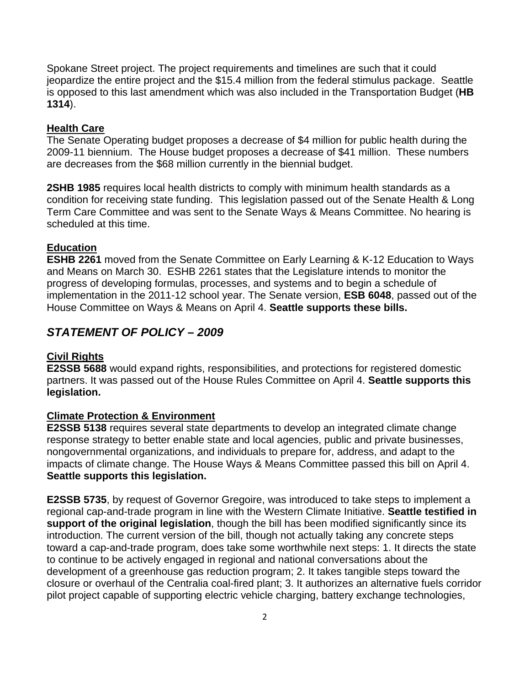Spokane Street project. The project requirements and timelines are such that it could jeopardize the entire project and the \$15.4 million from the federal stimulus package. Seattle is opposed to this last amendment which was also included in the Transportation Budget (**HB 1314**).

### **Health Care**

The Senate Operating budget proposes a decrease of \$4 million for public health during the 2009-11 biennium. The House budget proposes a decrease of \$41 million. These numbers are decreases from the \$68 million currently in the biennial budget.

**2SHB 1985** requires local health districts to comply with minimum health standards as a condition for receiving state funding. This legislation passed out of the Senate Health & Long Term Care Committee and was sent to the Senate Ways & Means Committee. No hearing is scheduled at this time.

### **Education**

**ESHB 2261** moved from the Senate Committee on Early Learning & K-12 Education to Ways and Means on March 30. ESHB 2261 states that the Legislature intends to monitor the progress of developing formulas, processes, and systems and to begin a schedule of implementation in the 2011-12 school year. The Senate version, **ESB 6048**, passed out of the House Committee on Ways & Means on April 4. **Seattle supports these bills.** 

## *STATEMENT OF POLICY – 2009*

### **Civil Rights**

**E2SSB 5688** would expand rights, responsibilities, and protections for registered domestic partners. It was passed out of the House Rules Committee on April 4. **Seattle supports this legislation.**

### **Climate Protection & Environment**

**E2SSB 5138** requires several state departments to develop an integrated climate change response strategy to better enable state and local agencies, public and private businesses, nongovernmental organizations, and individuals to prepare for, address, and adapt to the impacts of climate change. The House Ways & Means Committee passed this bill on April 4. **Seattle supports this legislation.** 

**E2SSB 5735**, by request of Governor Gregoire, was introduced to take steps to implement a regional cap-and-trade program in line with the Western Climate Initiative. **Seattle testified in support of the original legislation**, though the bill has been modified significantly since its introduction. The current version of the bill, though not actually taking any concrete steps toward a cap-and-trade program, does take some worthwhile next steps: 1. It directs the state to continue to be actively engaged in regional and national conversations about the development of a greenhouse gas reduction program; 2. It takes tangible steps toward the closure or overhaul of the Centralia coal-fired plant; 3. It authorizes an alternative fuels corridor pilot project capable of supporting electric vehicle charging, battery exchange technologies,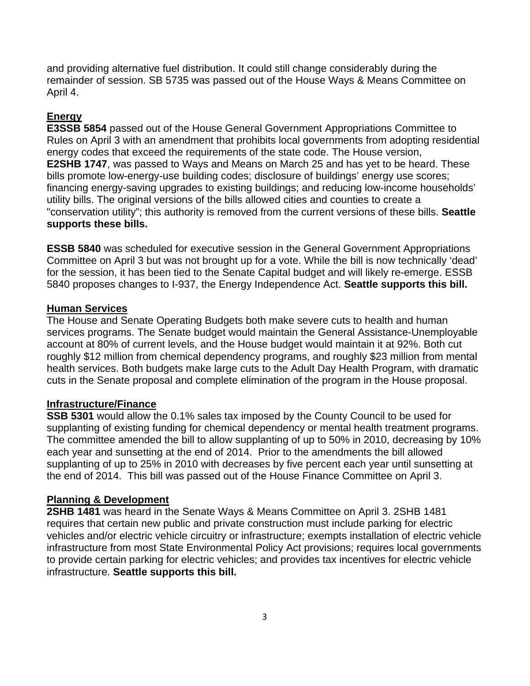and providing alternative fuel distribution. It could still change considerably during the remainder of session. SB 5735 was passed out of the House Ways & Means Committee on April 4.

## **Energy**

**E3SSB 5854** passed out of the House General Government Appropriations Committee to Rules on April 3 with an amendment that prohibits local governments from adopting residential energy codes that exceed the requirements of the state code. The House version, **E2SHB 1747**, was passed to Ways and Means on March 25 and has yet to be heard. These bills promote low-energy-use building codes; disclosure of buildings' energy use scores; financing energy-saving upgrades to existing buildings; and reducing low-income households' utility bills. The original versions of the bills allowed cities and counties to create a "conservation utility"; this authority is removed from the current versions of these bills. **Seattle supports these bills.**

**ESSB 5840** was scheduled for executive session in the General Government Appropriations Committee on April 3 but was not brought up for a vote. While the bill is now technically 'dead' for the session, it has been tied to the Senate Capital budget and will likely re-emerge. ESSB 5840 proposes changes to I-937, the Energy Independence Act. **Seattle supports this bill.**

### **Human Services**

The House and Senate Operating Budgets both make severe cuts to health and human services programs. The Senate budget would maintain the General Assistance-Unemployable account at 80% of current levels, and the House budget would maintain it at 92%. Both cut roughly \$12 million from chemical dependency programs, and roughly \$23 million from mental health services. Both budgets make large cuts to the Adult Day Health Program, with dramatic cuts in the Senate proposal and complete elimination of the program in the House proposal.

### **Infrastructure/Finance**

**SSB 5301** would allow the 0.1% sales tax imposed by the County Council to be used for supplanting of existing funding for chemical dependency or mental health treatment programs. The committee amended the bill to allow supplanting of up to 50% in 2010, decreasing by 10% each year and sunsetting at the end of 2014. Prior to the amendments the bill allowed supplanting of up to 25% in 2010 with decreases by five percent each year until sunsetting at the end of 2014. This bill was passed out of the House Finance Committee on April 3.

### **Planning & Development**

**2SHB 1481** was heard in the Senate Ways & Means Committee on April 3. 2SHB 1481 requires that certain new public and private construction must include parking for electric vehicles and/or electric vehicle circuitry or infrastructure; exempts installation of electric vehicle infrastructure from most State Environmental Policy Act provisions; requires local governments to provide certain parking for electric vehicles; and provides tax incentives for electric vehicle infrastructure. **Seattle supports this bill.**